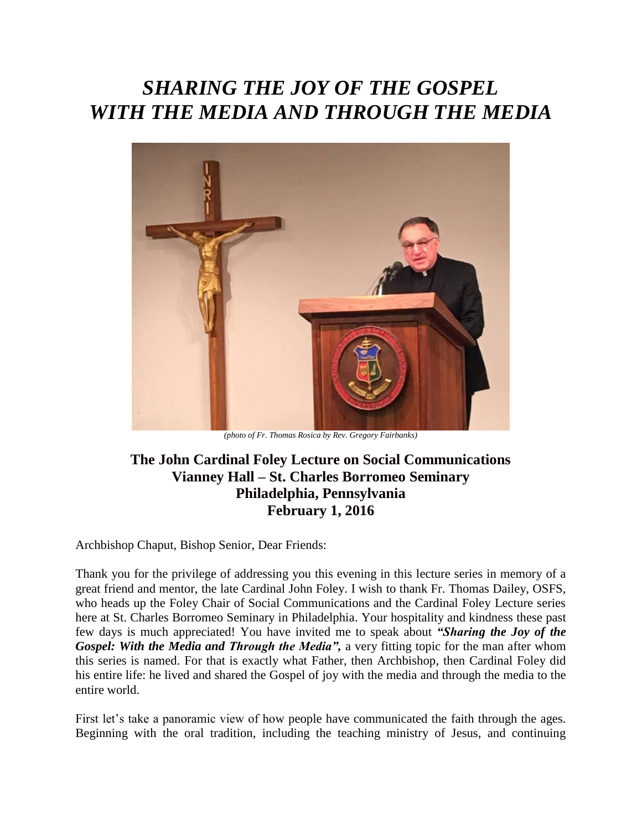# *SHARING THE JOY OF THE GOSPEL WITH THE MEDIA AND THROUGH THE MEDIA*



*(photo of Fr. Thomas Rosica by Rev. Gregory Fairbanks)*

## **The John Cardinal Foley Lecture on Social Communications Vianney Hall – St. Charles Borromeo Seminary Philadelphia, Pennsylvania February 1, 2016**

Archbishop Chaput, Bishop Senior, Dear Friends:

Thank you for the privilege of addressing you this evening in this lecture series in memory of a great friend and mentor, the late Cardinal John Foley. I wish to thank Fr. Thomas Dailey, OSFS, who heads up the Foley Chair of Social Communications and the Cardinal Foley Lecture series here at St. Charles Borromeo Seminary in Philadelphia. Your hospitality and kindness these past few days is much appreciated! You have invited me to speak about *"Sharing the Joy of the Gospel: With the Media and Through the Media",* a very fitting topic for the man after whom this series is named. For that is exactly what Father, then Archbishop, then Cardinal Foley did his entire life: he lived and shared the Gospel of joy with the media and through the media to the entire world.

First let's take a panoramic view of how people have communicated the faith through the ages. Beginning with the oral tradition, including the teaching ministry of Jesus, and continuing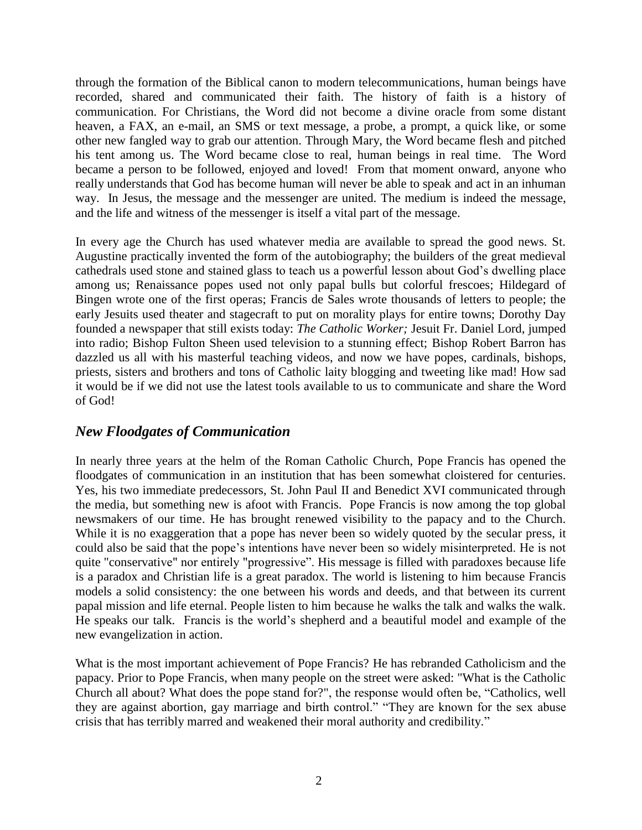through the formation of the Biblical canon to modern telecommunications, human beings have recorded, shared and communicated their faith. The history of faith is a history of communication. For Christians, the Word did not become a divine oracle from some distant heaven, a FAX, an e-mail, an SMS or text message, a probe, a prompt, a quick like, or some other new fangled way to grab our attention. Through Mary, the Word became flesh and pitched his tent among us. The Word became close to real, human beings in real time. The Word became a person to be followed, enjoyed and loved! From that moment onward, anyone who really understands that God has become human will never be able to speak and act in an inhuman way. In Jesus, the message and the messenger are united. The medium is indeed the message, and the life and witness of the messenger is itself a vital part of the message.

In every age the Church has used whatever media are available to spread the good news. St. Augustine practically invented the form of the autobiography; the builders of the great medieval cathedrals used stone and stained glass to teach us a powerful lesson about God's dwelling place among us; Renaissance popes used not only papal bulls but colorful frescoes; Hildegard of Bingen wrote one of the first operas; Francis de Sales wrote thousands of letters to people; the early Jesuits used theater and stagecraft to put on morality plays for entire towns; Dorothy Day founded a newspaper that still exists today: *The Catholic Worker;* Jesuit Fr. Daniel Lord, jumped into radio; Bishop Fulton Sheen used television to a stunning effect; Bishop Robert Barron has dazzled us all with his masterful teaching videos, and now we have popes, cardinals, bishops, priests, sisters and brothers and tons of Catholic laity blogging and tweeting like mad! How sad it would be if we did not use the latest tools available to us to communicate and share the Word of God!

#### *New Floodgates of Communication*

In nearly three years at the helm of the Roman Catholic Church, Pope Francis has opened the floodgates of communication in an institution that has been somewhat cloistered for centuries. Yes, his two immediate predecessors, St. John Paul II and Benedict XVI communicated through the media, but something new is afoot with Francis. Pope Francis is now among the top global newsmakers of our time. He has brought renewed visibility to the papacy and to the Church. While it is no exaggeration that a pope has never been so widely quoted by the secular press, it could also be said that the pope's intentions have never been so widely misinterpreted. He is not quite "conservative" nor entirely "progressive". His message is filled with paradoxes because life is a paradox and Christian life is a great paradox. The world is listening to him because Francis models a solid consistency: the one between his words and deeds, and that between its current papal mission and life eternal. People listen to him because he walks the talk and walks the walk. He speaks our talk. Francis is the world's shepherd and a beautiful model and example of the new evangelization in action.

What is the most important achievement of Pope Francis? He has rebranded Catholicism and the papacy. Prior to Pope Francis, when many people on the street were asked: "What is the Catholic Church all about? What does the pope stand for?", the response would often be, "Catholics, well they are against abortion, gay marriage and birth control." "They are known for the sex abuse crisis that has terribly marred and weakened their moral authority and credibility."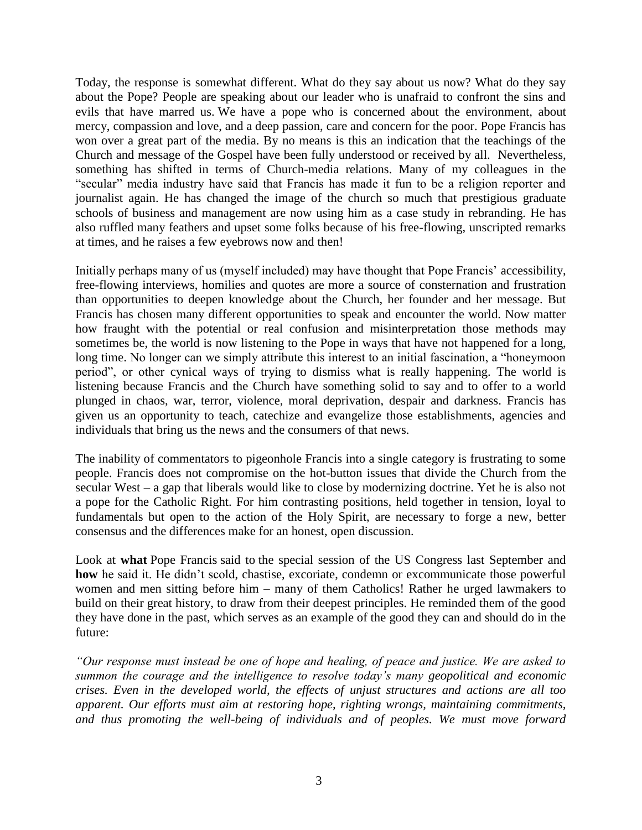Today, the response is somewhat different. What do they say about us now? What do they say about the Pope? People are speaking about our leader who is unafraid to confront the sins and evils that have marred us. We have a pope who is concerned about the environment, about mercy, compassion and love, and a deep passion, care and concern for the poor. Pope Francis has won over a great part of the media. By no means is this an indication that the teachings of the Church and message of the Gospel have been fully understood or received by all. Nevertheless, something has shifted in terms of Church-media relations. Many of my colleagues in the "secular" media industry have said that Francis has made it fun to be a religion reporter and journalist again. He has changed the image of the church so much that prestigious graduate schools of business and management are now using him as a case study in rebranding. He has also ruffled many feathers and upset some folks because of his free-flowing, unscripted remarks at times, and he raises a few eyebrows now and then!

Initially perhaps many of us (myself included) may have thought that Pope Francis' accessibility, free-flowing interviews, homilies and quotes are more a source of consternation and frustration than opportunities to deepen knowledge about the Church, her founder and her message. But Francis has chosen many different opportunities to speak and encounter the world. Now matter how fraught with the potential or real confusion and misinterpretation those methods may sometimes be, the world is now listening to the Pope in ways that have not happened for a long, long time. No longer can we simply attribute this interest to an initial fascination, a "honeymoon period", or other cynical ways of trying to dismiss what is really happening. The world is listening because Francis and the Church have something solid to say and to offer to a world plunged in chaos, war, terror, violence, moral deprivation, despair and darkness. Francis has given us an opportunity to teach, catechize and evangelize those establishments, agencies and individuals that bring us the news and the consumers of that news.

The inability of commentators to pigeonhole Francis into a single category is frustrating to some people. Francis does not compromise on the hot-button issues that divide the Church from the secular West – a gap that liberals would like to close by modernizing doctrine. Yet he is also not a pope for the Catholic Right. For him contrasting positions, held together in tension, loyal to fundamentals but open to the action of the Holy Spirit, are necessary to forge a new, better consensus and the differences make for an honest, open discussion.

Look at **what** Pope Francis said to the special session of the US Congress last September and **how** he said it. He didn't scold, chastise, excoriate, condemn or excommunicate those powerful women and men sitting before him – many of them Catholics! Rather he urged lawmakers to build on their great history, to draw from their deepest principles. He reminded them of the good they have done in the past, which serves as an example of the good they can and should do in the future:

*"Our response must instead be one of hope and healing, of peace and justice. We are asked to summon the courage and the intelligence to resolve today's many geopolitical and economic crises. Even in the developed world, the effects of unjust structures and actions are all too apparent. Our efforts must aim at restoring hope, righting wrongs, maintaining commitments, and thus promoting the well-being of individuals and of peoples. We must move forward*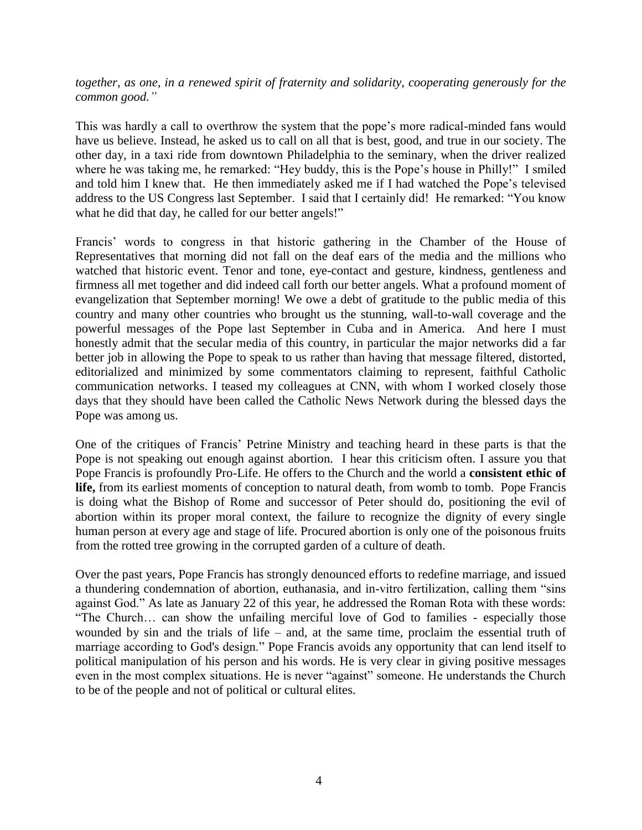*together, as one, in a renewed spirit of fraternity and solidarity, cooperating generously for the common good."*

This was hardly a call to overthrow the system that the pope's more radical-minded fans would have us believe. Instead, he asked us to call on all that is best, good, and true in our society. The other day, in a taxi ride from downtown Philadelphia to the seminary, when the driver realized where he was taking me, he remarked: "Hey buddy, this is the Pope's house in Philly!" I smiled and told him I knew that. He then immediately asked me if I had watched the Pope's televised address to the US Congress last September. I said that I certainly did! He remarked: "You know what he did that day, he called for our better angels!"

Francis' words to congress in that historic gathering in the Chamber of the House of Representatives that morning did not fall on the deaf ears of the media and the millions who watched that historic event. Tenor and tone, eye-contact and gesture, kindness, gentleness and firmness all met together and did indeed call forth our better angels. What a profound moment of evangelization that September morning! We owe a debt of gratitude to the public media of this country and many other countries who brought us the stunning, wall-to-wall coverage and the powerful messages of the Pope last September in Cuba and in America. And here I must honestly admit that the secular media of this country, in particular the major networks did a far better job in allowing the Pope to speak to us rather than having that message filtered, distorted, editorialized and minimized by some commentators claiming to represent, faithful Catholic communication networks. I teased my colleagues at CNN, with whom I worked closely those days that they should have been called the Catholic News Network during the blessed days the Pope was among us.

One of the critiques of Francis' Petrine Ministry and teaching heard in these parts is that the Pope is not speaking out enough against abortion. I hear this criticism often. I assure you that Pope Francis is profoundly Pro-Life. He offers to the Church and the world a **consistent ethic of life,** from its earliest moments of conception to natural death, from womb to tomb. Pope Francis is doing what the Bishop of Rome and successor of Peter should do, positioning the evil of abortion within its proper moral context, the failure to recognize the dignity of every single human person at every age and stage of life. Procured abortion is only one of the poisonous fruits from the rotted tree growing in the corrupted garden of a culture of death.

Over the past years, Pope Francis has strongly denounced efforts to redefine marriage, and issued a thundering condemnation of abortion, euthanasia, and in-vitro fertilization, calling them "sins against God." As late as January 22 of this year, he addressed the Roman Rota with these words: "The Church… can show the unfailing merciful love of God to families - especially those wounded by sin and the trials of life – and, at the same time, proclaim the essential truth of marriage according to God's design." Pope Francis avoids any opportunity that can lend itself to political manipulation of his person and his words. He is very clear in giving positive messages even in the most complex situations. He is never "against" someone. He understands the Church to be of the people and not of political or cultural elites.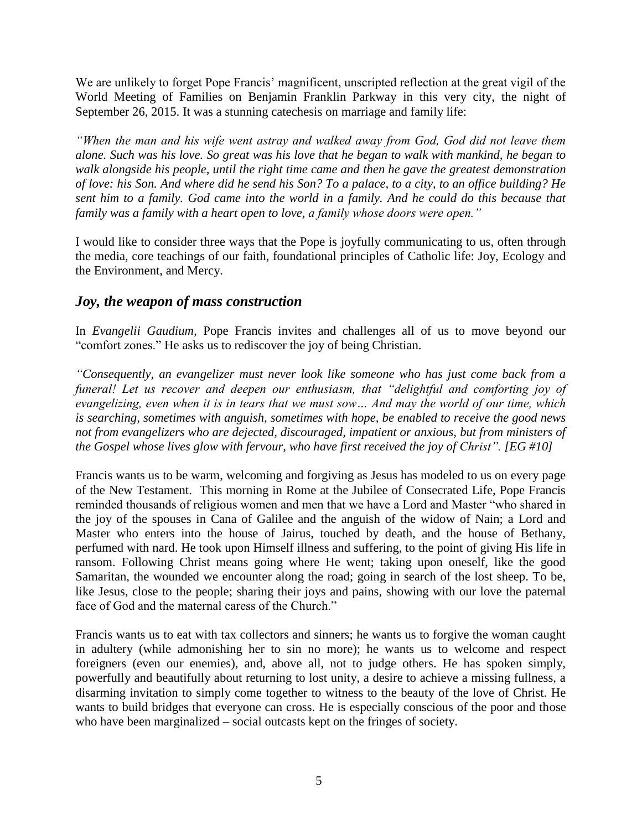We are unlikely to forget Pope Francis' magnificent, unscripted reflection at the great vigil of the World Meeting of Families on Benjamin Franklin Parkway in this very city, the night of September 26, 2015. It was a stunning catechesis on marriage and family life:

*"When the man and his wife went astray and walked away from God, God did not leave them alone. Such was his love. So great was his love that he began to walk with mankind, he began to walk alongside his people, until the right time came and then he gave the greatest demonstration of love: his Son. And where did he send his Son? To a palace, to a city, to an office building? He sent him to a family. God came into the world in a family. And he could do this because that family was a family with a heart open to love, a family whose doors were open."*

I would like to consider three ways that the Pope is joyfully communicating to us, often through the media, core teachings of our faith, foundational principles of Catholic life: Joy, Ecology and the Environment, and Mercy.

#### *Joy, the weapon of mass construction*

In *Evangelii Gaudium,* Pope Francis invites and challenges all of us to move beyond our "comfort zones." He asks us to rediscover the joy of being Christian.

*"Consequently, an evangelizer must never look like someone who has just come back from a funeral! Let us recover and deepen our enthusiasm, that "delightful and comforting joy of evangelizing, even when it is in tears that we must sow… And may the world of our time, which is searching, sometimes with anguish, sometimes with hope, be enabled to receive the good news not from evangelizers who are dejected, discouraged, impatient or anxious, but from ministers of the Gospel whose lives glow with fervour, who have first received the joy of Christ". [EG #10]*

Francis wants us to be warm, welcoming and forgiving as Jesus has modeled to us on every page of the New Testament. This morning in Rome at the Jubilee of Consecrated Life, Pope Francis reminded thousands of religious women and men that we have a Lord and Master "who shared in the joy of the spouses in Cana of Galilee and the anguish of the widow of Nain; a Lord and Master who enters into the house of Jairus, touched by death, and the house of Bethany, perfumed with nard. He took upon Himself illness and suffering, to the point of giving His life in ransom. Following Christ means going where He went; taking upon oneself, like the good Samaritan, the wounded we encounter along the road; going in search of the lost sheep. To be, like Jesus, close to the people; sharing their joys and pains, showing with our love the paternal face of God and the maternal caress of the Church."

Francis wants us to eat with tax collectors and sinners; he wants us to forgive the woman caught in adultery (while admonishing her to sin no more); he wants us to welcome and respect foreigners (even our enemies), and, above all, not to judge others. He has spoken simply, powerfully and beautifully about returning to lost unity, a desire to achieve a missing fullness, a disarming invitation to simply come together to witness to the beauty of the love of Christ. He wants to build bridges that everyone can cross. He is especially conscious of the poor and those who have been marginalized – social outcasts kept on the fringes of society.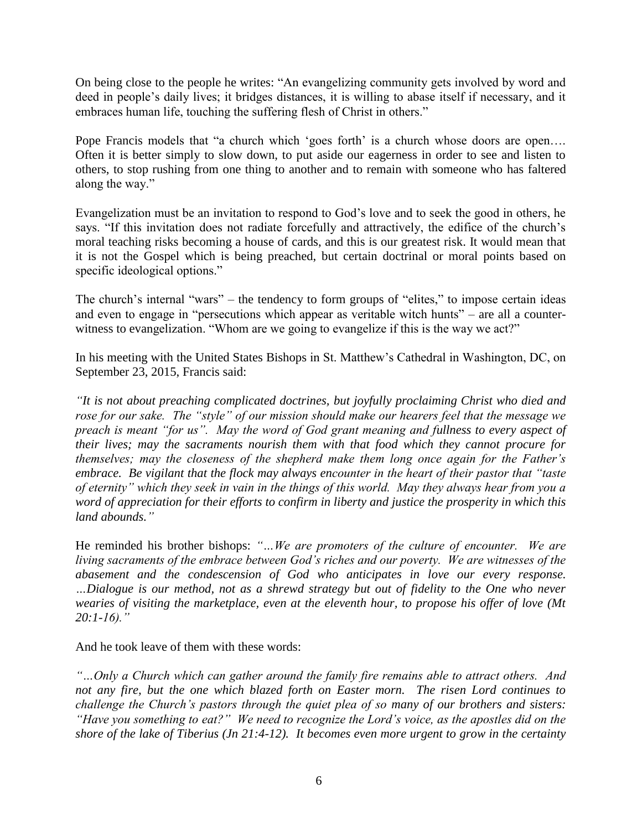On being close to the people he writes: "An evangelizing community gets involved by word and deed in people's daily lives; it bridges distances, it is willing to abase itself if necessary, and it embraces human life, touching the suffering flesh of Christ in others."

Pope Francis models that "a church which 'goes forth' is a church whose doors are open…. Often it is better simply to slow down, to put aside our eagerness in order to see and listen to others, to stop rushing from one thing to another and to remain with someone who has faltered along the way."

Evangelization must be an invitation to respond to God's love and to seek the good in others, he says. "If this invitation does not radiate forcefully and attractively, the edifice of the church's moral teaching risks becoming a house of cards, and this is our greatest risk. It would mean that it is not the Gospel which is being preached, but certain doctrinal or moral points based on specific ideological options."

The church's internal "wars" – the tendency to form groups of "elites," to impose certain ideas and even to engage in "persecutions which appear as veritable witch hunts" – are all a counterwitness to evangelization. "Whom are we going to evangelize if this is the way we act?"

In his meeting with the United States Bishops in St. Matthew's Cathedral in Washington, DC, on September 23, 2015, Francis said:

*"It is not about preaching complicated doctrines, but joyfully proclaiming Christ who died and rose for our sake. The "style" of our mission should make our hearers feel that the message we preach is meant "for us". May the word of God grant meaning and fullness to every aspect of their lives; may the sacraments nourish them with that food which they cannot procure for themselves; may the closeness of the shepherd make them long once again for the Father's embrace. Be vigilant that the flock may always encounter in the heart of their pastor that "taste of eternity" which they seek in vain in the things of this world. May they always hear from you a word of appreciation for their efforts to confirm in liberty and justice the prosperity in which this land abounds."* 

He reminded his brother bishops: *"…We are promoters of the culture of encounter. We are living sacraments of the embrace between God's riches and our poverty. We are witnesses of the abasement and the condescension of God who anticipates in love our every response. …Dialogue is our method, not as a shrewd strategy but out of fidelity to the One who never wearies of visiting the marketplace, even at the eleventh hour, to propose his offer of love (Mt 20:1-16)."*

And he took leave of them with these words:

*"…Only a Church which can gather around the family fire remains able to attract others. And not any fire, but the one which blazed forth on Easter morn. The risen Lord continues to challenge the Church's pastors through the quiet plea of so many of our brothers and sisters: "Have you something to eat?" We need to recognize the Lord's voice, as the apostles did on the shore of the lake of Tiberius (Jn 21:4-12). It becomes even more urgent to grow in the certainty*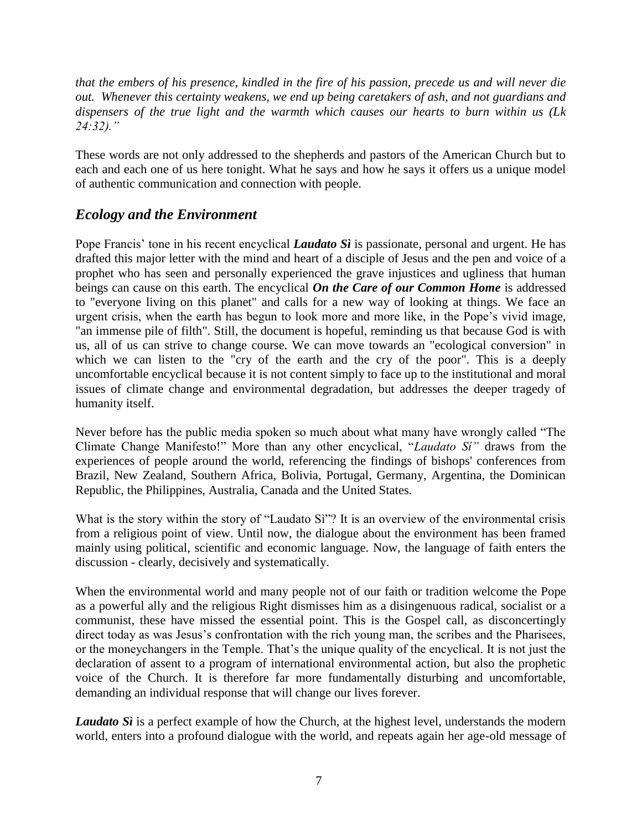*that the embers of his presence, kindled in the fire of his passion, precede us and will never die out. Whenever this certainty weakens, we end up being caretakers of ash, and not guardians and dispensers of the true light and the warmth which causes our hearts to burn within us (Lk 24:32)."*

These words are not only addressed to the shepherds and pastors of the American Church but to each and each one of us here tonight. What he says and how he says it offers us a unique model of authentic communication and connection with people.

#### *Ecology and the Environment*

Pope Francis' tone in his recent encyclical *Laudato Si* is passionate, personal and urgent. He has drafted this major letter with the mind and heart of a disciple of Jesus and the pen and voice of a prophet who has seen and personally experienced the grave injustices and ugliness that human beings can cause on this earth. The encyclical *On the Care of our Common Home* is addressed to "everyone living on this planet" and calls for a new way of looking at things. We face an urgent crisis, when the earth has begun to look more and more like, in the Pope's vivid image, "an immense pile of filth". Still, the document is hopeful, reminding us that because God is with us, all of us can strive to change course. We can move towards an "ecological conversion" in which we can listen to the "cry of the earth and the cry of the poor". This is a deeply uncomfortable encyclical because it is not content simply to face up to the institutional and moral issues of climate change and environmental degradation, but addresses the deeper tragedy of humanity itself.

Never before has the public media spoken so much about what many have wrongly called "The Climate Change Manifesto!" More than any other encyclical, "*Laudato Sí"* draws from the experiences of people around the world, referencing the findings of bishops' conferences from Brazil, New Zealand, Southern Africa, Bolivia, Portugal, Germany, Argentina, the Dominican Republic, the Philippines, Australia, Canada and the United States.

What is the story within the story of "Laudato Sì"? It is an overview of the environmental crisis from a religious point of view. Until now, the dialogue about the environment has been framed mainly using political, scientific and economic language. Now, the language of faith enters the discussion - clearly, decisively and systematically.

When the environmental world and many people not of our faith or tradition welcome the Pope as a powerful ally and the religious Right dismisses him as a disingenuous radical, socialist or a communist, these have missed the essential point. This is the Gospel call, as disconcertingly direct today as was Jesus's confrontation with the rich young man, the scribes and the Pharisees, or the moneychangers in the Temple. That's the unique quality of the encyclical. It is not just the declaration of assent to a program of international environmental action, but also the prophetic voice of the Church. It is therefore far more fundamentally disturbing and uncomfortable, demanding an individual response that will change our lives forever.

*Laudato Si* is a perfect example of how the Church, at the highest level, understands the modern world, enters into a profound dialogue with the world, and repeats again her age-old message of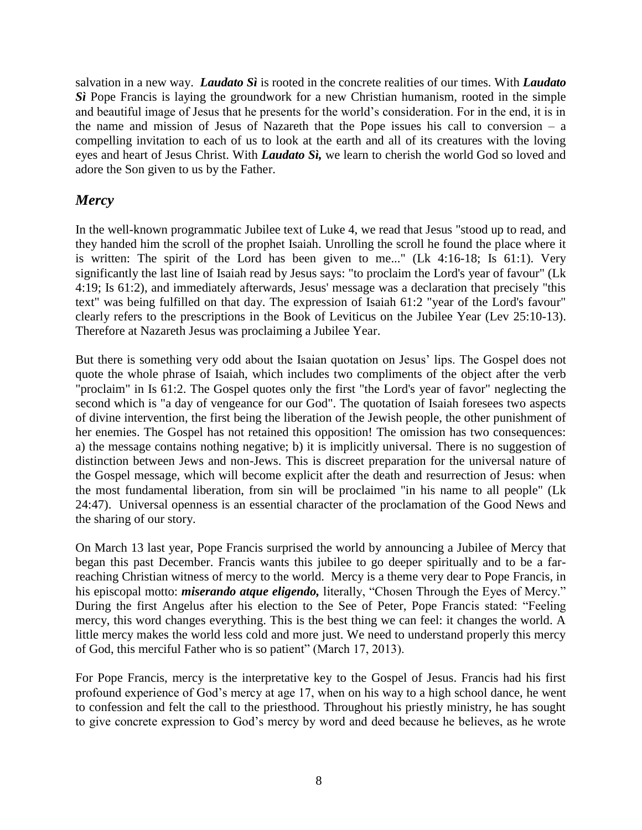salvation in a new way. *Laudato Sì* is rooted in the concrete realities of our times. With *Laudato Sì* Pope Francis is laying the groundwork for a new Christian humanism, rooted in the simple and beautiful image of Jesus that he presents for the world's consideration. For in the end, it is in the name and mission of Jesus of Nazareth that the Pope issues his call to conversion  $-$  a compelling invitation to each of us to look at the earth and all of its creatures with the loving eyes and heart of Jesus Christ. With *Laudato Sì,* we learn to cherish the world God so loved and adore the Son given to us by the Father.

#### *Mercy*

In the well-known programmatic Jubilee text of Luke 4, we read that Jesus "stood up to read, and they handed him the scroll of the prophet Isaiah. Unrolling the scroll he found the place where it is written: The spirit of the Lord has been given to me..." (Lk 4:16-18; Is 61:1). Very significantly the last line of Isaiah read by Jesus says: "to proclaim the Lord's year of favour" (Lk 4:19; Is 61:2), and immediately afterwards, Jesus' message was a declaration that precisely "this text" was being fulfilled on that day. The expression of Isaiah 61:2 "year of the Lord's favour" clearly refers to the prescriptions in the Book of Leviticus on the Jubilee Year (Lev 25:10-13). Therefore at Nazareth Jesus was proclaiming a Jubilee Year.

But there is something very odd about the Isaian quotation on Jesus' lips. The Gospel does not quote the whole phrase of Isaiah, which includes two compliments of the object after the verb "proclaim" in Is 61:2. The Gospel quotes only the first "the Lord's year of favor" neglecting the second which is "a day of vengeance for our God". The quotation of Isaiah foresees two aspects of divine intervention, the first being the liberation of the Jewish people, the other punishment of her enemies. The Gospel has not retained this opposition! The omission has two consequences: a) the message contains nothing negative; b) it is implicitly universal. There is no suggestion of distinction between Jews and non-Jews. This is discreet preparation for the universal nature of the Gospel message, which will become explicit after the death and resurrection of Jesus: when the most fundamental liberation, from sin will be proclaimed "in his name to all people" (Lk 24:47). Universal openness is an essential character of the proclamation of the Good News and the sharing of our story.

On March 13 last year, Pope Francis surprised the world by announcing a Jubilee of Mercy that began this past December. Francis wants this jubilee to go deeper spiritually and to be a farreaching Christian witness of mercy to the world. Mercy is a theme very dear to Pope Francis, in his episcopal motto: *miserando atque eligendo,* literally, "Chosen Through the Eyes of Mercy." During the first Angelus after his election to the See of Peter, Pope Francis stated: "Feeling mercy, this word changes everything. This is the best thing we can feel: it changes the world. A little mercy makes the world less cold and more just. We need to understand properly this mercy of God, this merciful Father who is so patient" (March 17, 2013).

For Pope Francis, mercy is the interpretative key to the Gospel of Jesus. Francis had his first profound experience of God's mercy at age 17, when on his way to a high school dance, he went to confession and felt the call to the priesthood. Throughout his priestly ministry, he has sought to give concrete expression to God's mercy by word and deed because he believes, as he wrote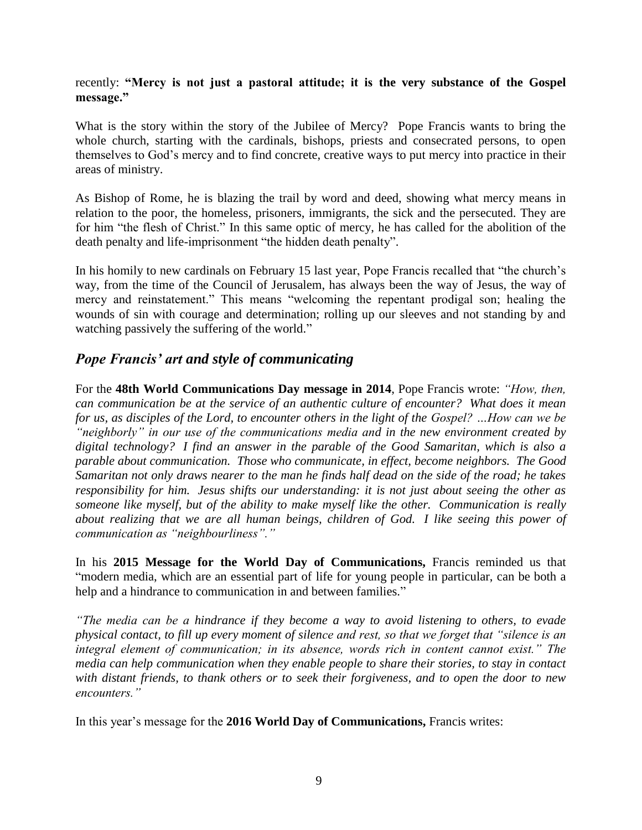recently: **"Mercy is not just a pastoral attitude; it is the very substance of the Gospel message."**

What is the story within the story of the Jubilee of Mercy? Pope Francis wants to bring the whole church, starting with the cardinals, bishops, priests and consecrated persons, to open themselves to God's mercy and to find concrete, creative ways to put mercy into practice in their areas of ministry.

As Bishop of Rome, he is blazing the trail by word and deed, showing what mercy means in relation to the poor, the homeless, prisoners, immigrants, the sick and the persecuted. They are for him "the flesh of Christ." In this same optic of mercy, he has called for the abolition of the death penalty and life-imprisonment "the hidden death penalty".

In his homily to new cardinals on February 15 last year, Pope Francis recalled that "the church's way, from the time of the Council of Jerusalem, has always been the way of Jesus, the way of mercy and reinstatement." This means "welcoming the repentant prodigal son; healing the wounds of sin with courage and determination; rolling up our sleeves and not standing by and watching passively the suffering of the world."

#### *Pope Francis' art and style of communicating*

For the **48th World Communications Day message in 2014**, Pope Francis wrote: *"How, then, can communication be at the service of an authentic culture of encounter? What does it mean for us, as disciples of the Lord, to encounter others in the light of the Gospel? …How can we be "neighborly" in our use of the communications media and in the new environment created by digital technology? I find an answer in the parable of the Good Samaritan, which is also a parable about communication. Those who communicate, in effect, become neighbors. The Good Samaritan not only draws nearer to the man he finds half dead on the side of the road; he takes responsibility for him. Jesus shifts our understanding: it is not just about seeing the other as someone like myself, but of the ability to make myself like the other. Communication is really about realizing that we are all human beings, children of God. I like seeing this power of communication as "neighbourliness"."*

In his **2015 Message for the World Day of Communications,** Francis reminded us that "modern media, which are an essential part of life for young people in particular, can be both a help and a hindrance to communication in and between families."

*"The media can be a hindrance if they become a way to avoid listening to others, to evade physical contact, to fill up every moment of silence and rest, so that we forget that "silence is an integral element of communication; in its absence, words rich in content cannot exist." The media can help communication when they enable people to share their stories, to stay in contact with distant friends, to thank others or to seek their forgiveness, and to open the door to new encounters."*

In this year's message for the **2016 World Day of Communications,** Francis writes: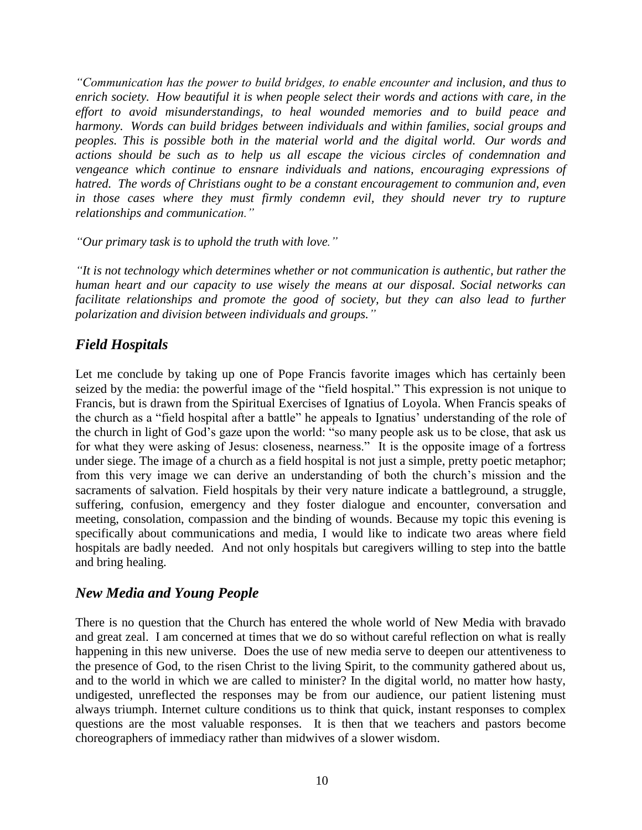*"Communication has the power to build bridges, to enable encounter and inclusion, and thus to enrich society. How beautiful it is when people select their words and actions with care, in the effort to avoid misunderstandings, to heal wounded memories and to build peace and harmony. Words can build bridges between individuals and within families, social groups and peoples. This is possible both in the material world and the digital world. Our words and actions should be such as to help us all escape the vicious circles of condemnation and vengeance which continue to ensnare individuals and nations, encouraging expressions of hatred. The words of Christians ought to be a constant encouragement to communion and, even*  in those cases where they must firmly condemn evil, they should never try to rupture *relationships and communication."*

*"Our primary task is to uphold the truth with love."*

*"It is not technology which determines whether or not communication is authentic, but rather the human heart and our capacity to use wisely the means at our disposal. Social networks can facilitate relationships and promote the good of society, but they can also lead to further polarization and division between individuals and groups."*

### *Field Hospitals*

Let me conclude by taking up one of Pope Francis favorite images which has certainly been seized by the media: the powerful image of the "field hospital." This expression is not unique to Francis, but is drawn from the Spiritual Exercises of Ignatius of Loyola. When Francis speaks of the church as a "field hospital after a battle" he appeals to Ignatius' understanding of the role of the church in light of God's gaze upon the world: "so many people ask us to be close, that ask us for what they were asking of Jesus: closeness, nearness." It is the opposite image of a fortress under siege. The image of a church as a field hospital is not just a simple, pretty poetic metaphor; from this very image we can derive an understanding of both the church's mission and the sacraments of salvation. Field hospitals by their very nature indicate a battleground, a struggle, suffering, confusion, emergency and they foster dialogue and encounter, conversation and meeting, consolation, compassion and the binding of wounds. Because my topic this evening is specifically about communications and media, I would like to indicate two areas where field hospitals are badly needed. And not only hospitals but caregivers willing to step into the battle and bring healing.

#### *New Media and Young People*

There is no question that the Church has entered the whole world of New Media with bravado and great zeal. I am concerned at times that we do so without careful reflection on what is really happening in this new universe. Does the use of new media serve to deepen our attentiveness to the presence of God, to the risen Christ to the living Spirit, to the community gathered about us, and to the world in which we are called to minister? In the digital world, no matter how hasty, undigested, unreflected the responses may be from our audience, our patient listening must always triumph. Internet culture conditions us to think that quick, instant responses to complex questions are the most valuable responses. It is then that we teachers and pastors become choreographers of immediacy rather than midwives of a slower wisdom.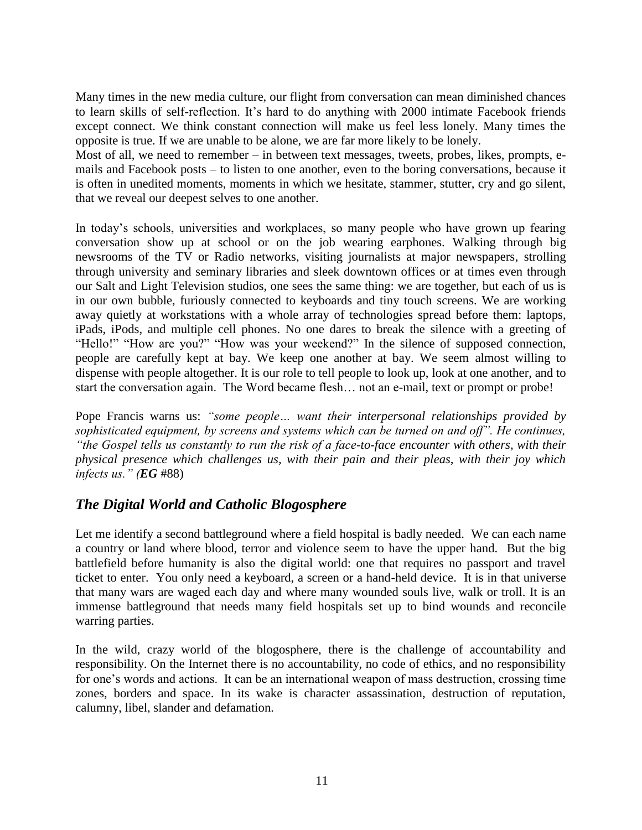Many times in the new media culture, our flight from conversation can mean diminished chances to learn skills of self-reflection. It's hard to do anything with 2000 intimate Facebook friends except connect. We think constant connection will make us feel less lonely. Many times the opposite is true. If we are unable to be alone, we are far more likely to be lonely.

Most of all, we need to remember – in between text messages, tweets, probes, likes, prompts, emails and Facebook posts – to listen to one another, even to the boring conversations, because it is often in unedited moments, moments in which we hesitate, stammer, stutter, cry and go silent, that we reveal our deepest selves to one another.

In today's schools, universities and workplaces, so many people who have grown up fearing conversation show up at school or on the job wearing earphones. Walking through big newsrooms of the TV or Radio networks, visiting journalists at major newspapers, strolling through university and seminary libraries and sleek downtown offices or at times even through our Salt and Light Television studios, one sees the same thing: we are together, but each of us is in our own bubble, furiously connected to keyboards and tiny touch screens. We are working away quietly at workstations with a whole array of technologies spread before them: laptops, iPads, iPods, and multiple cell phones. No one dares to break the silence with a greeting of "Hello!" "How are you?" "How was your weekend?" In the silence of supposed connection, people are carefully kept at bay. We keep one another at bay. We seem almost willing to dispense with people altogether. It is our role to tell people to look up, look at one another, and to start the conversation again. The Word became flesh… not an e-mail, text or prompt or probe!

Pope Francis warns us: *"some people… want their interpersonal relationships provided by sophisticated equipment, by screens and systems which can be turned on and off". He continues, "the Gospel tells us constantly to run the risk of a face-to-face encounter with others, with their physical presence which challenges us, with their pain and their pleas, with their joy which infects us." (EG* #88)

#### *The Digital World and Catholic Blogosphere*

Let me identify a second battleground where a field hospital is badly needed. We can each name a country or land where blood, terror and violence seem to have the upper hand. But the big battlefield before humanity is also the digital world: one that requires no passport and travel ticket to enter. You only need a keyboard, a screen or a hand-held device. It is in that universe that many wars are waged each day and where many wounded souls live, walk or troll. It is an immense battleground that needs many field hospitals set up to bind wounds and reconcile warring parties.

In the wild, crazy world of the blogosphere, there is the challenge of accountability and responsibility. On the Internet there is no accountability, no code of ethics, and no responsibility for one's words and actions. It can be an international weapon of mass destruction, crossing time zones, borders and space. In its wake is character assassination, destruction of reputation, calumny, libel, slander and defamation.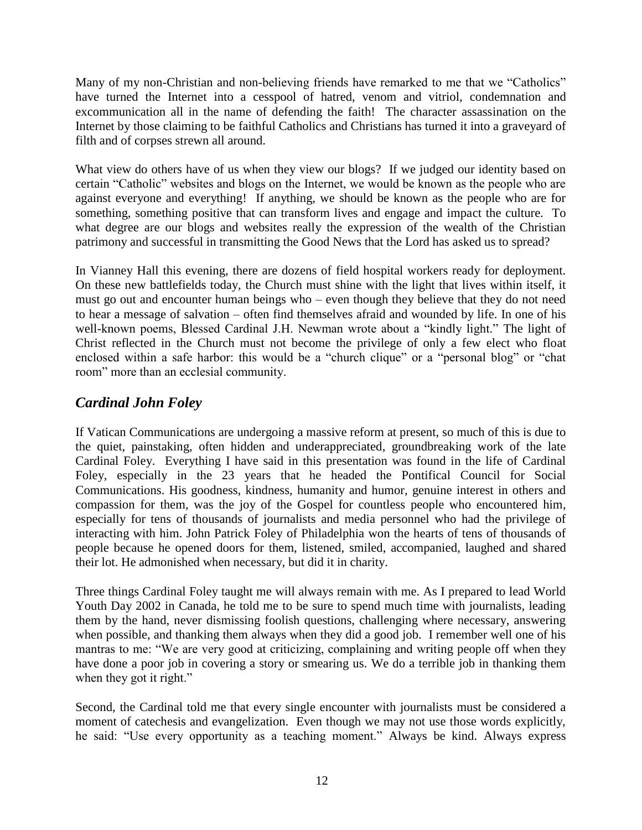Many of my non-Christian and non-believing friends have remarked to me that we "Catholics" have turned the Internet into a cesspool of hatred, venom and vitriol, condemnation and excommunication all in the name of defending the faith! The character assassination on the Internet by those claiming to be faithful Catholics and Christians has turned it into a graveyard of filth and of corpses strewn all around.

What view do others have of us when they view our blogs? If we judged our identity based on certain "Catholic" websites and blogs on the Internet, we would be known as the people who are against everyone and everything! If anything, we should be known as the people who are for something, something positive that can transform lives and engage and impact the culture. To what degree are our blogs and websites really the expression of the wealth of the Christian patrimony and successful in transmitting the Good News that the Lord has asked us to spread?

In Vianney Hall this evening, there are dozens of field hospital workers ready for deployment. On these new battlefields today, the Church must shine with the light that lives within itself, it must go out and encounter human beings who – even though they believe that they do not need to hear a message of salvation – often find themselves afraid and wounded by life. In one of his well-known poems, Blessed Cardinal J.H. Newman wrote about a "kindly light." The light of Christ reflected in the Church must not become the privilege of only a few elect who float enclosed within a safe harbor: this would be a "church clique" or a "personal blog" or "chat room" more than an ecclesial community.

## *Cardinal John Foley*

If Vatican Communications are undergoing a massive reform at present, so much of this is due to the quiet, painstaking, often hidden and underappreciated, groundbreaking work of the late Cardinal Foley. Everything I have said in this presentation was found in the life of Cardinal Foley, especially in the 23 years that he headed the Pontifical Council for Social Communications. His goodness, kindness, humanity and humor, genuine interest in others and compassion for them, was the joy of the Gospel for countless people who encountered him, especially for tens of thousands of journalists and media personnel who had the privilege of interacting with him. John Patrick Foley of Philadelphia won the hearts of tens of thousands of people because he opened doors for them, listened, smiled, accompanied, laughed and shared their lot. He admonished when necessary, but did it in charity.

Three things Cardinal Foley taught me will always remain with me. As I prepared to lead World Youth Day 2002 in Canada, he told me to be sure to spend much time with journalists, leading them by the hand, never dismissing foolish questions, challenging where necessary, answering when possible, and thanking them always when they did a good job. I remember well one of his mantras to me: "We are very good at criticizing, complaining and writing people off when they have done a poor job in covering a story or smearing us. We do a terrible job in thanking them when they got it right."

Second, the Cardinal told me that every single encounter with journalists must be considered a moment of catechesis and evangelization. Even though we may not use those words explicitly, he said: "Use every opportunity as a teaching moment." Always be kind. Always express